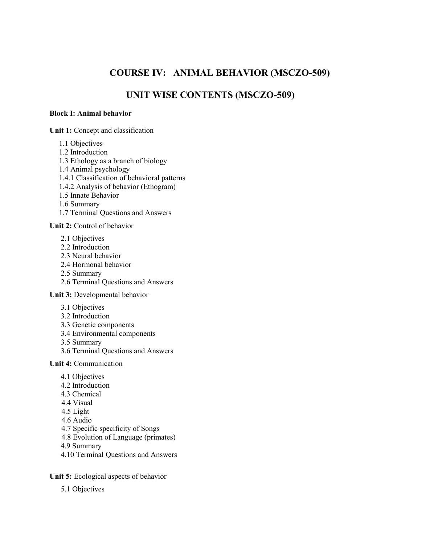# **COURSE IV: ANIMAL BEHAVIOR (MSCZO-509)**

## **UNIT WISE CONTENTS (MSCZO-509)**

#### **Block I: Animal behavior**

**Unit 1:** Concept and classification

- 1.1 Objectives
- 1.2 Introduction
- 1.3 Ethology as a branch of biology
- 1.4 Animal psychology
- 1.4.1 Classification of behavioral patterns
- 1.4.2 Analysis of behavior (Ethogram)
- 1.5 Innate Behavior
- 1.6 Summary
- 1.7 Terminal Questions and Answers

#### **Unit 2:** Control of behavior

- 2.1 Objectives
- 2.2 Introduction
- 2.3 Neural behavior
- 2.4 Hormonal behavior
- 2.5 Summary
- 2.6 Terminal Questions and Answers

**Unit 3:** Developmental behavior

- 3.1 Objectives
- 3.2 Introduction
- 3.3 Genetic components
- 3.4 Environmental components
- 3.5 Summary
- 3.6 Terminal Questions and Answers

**Unit 4:** Communication

- 4.1 Objectives
- 4.2 Introduction
- 4.3 Chemical
- 4.4 Visual
- 4.5 Light
- 4.6 Audio
- 4.7 Specific specificity of Songs
- 4.8 Evolution of Language (primates)
- 4.9 Summary
- 4.10 Terminal Questions and Answers

**Unit 5:** Ecological aspects of behavior

5.1 Objectives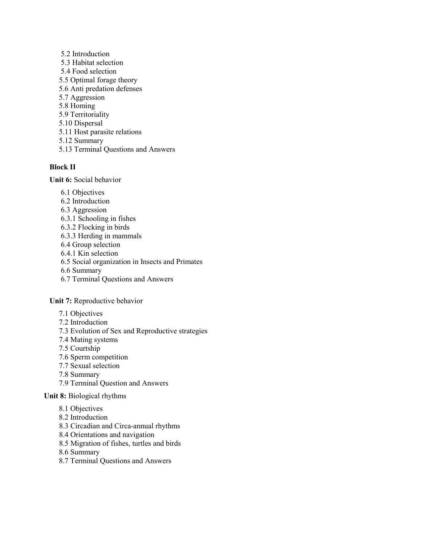- 5.2 Introduction 5.3 Habitat selection 5.4 Food selection 5.5 Optimal forage theory 5.6 Anti predation defenses 5.7 Aggression 5.8 Homing 5.9 Territoriality 5.10 Dispersal 5.11 Host parasite relations
- 5.12 Summary
- 5.13 Terminal Questions and Answers

#### **Block II**

**Unit 6:** Social behavior

- 6.1 Objectives
- 6.2 Introduction
- 6.3 Aggression
- 6.3.1 Schooling in fishes
- 6.3.2 Flocking in birds
- 6.3.3 Herding in mammals
- 6.4 Group selection
- 6.4.1 Kin selection
- 6.5 Social organization in Insects and Primates
- 6.6 Summary
- 6.7 Terminal Questions and Answers

**Unit 7:** Reproductive behavior

- 7.1 Objectives
- 7.2 Introduction
- 7.3 Evolution of Sex and Reproductive strategies
- 7.4 Mating systems
- 7.5 Courtship
- 7.6 Sperm competition
- 7.7 Sexual selection
- 7.8 Summary
- 7.9 Terminal Question and Answers

#### **Unit 8:** Biological rhythms

- 8.1 Objectives
- 8.2 Introduction
- 8.3 Circadian and Circa-annual rhythms
- 8.4 Orientations and navigation
- 8.5 Migration of fishes, turtles and birds
- 8.6 Summary
- 8.7 Terminal Questions and Answers